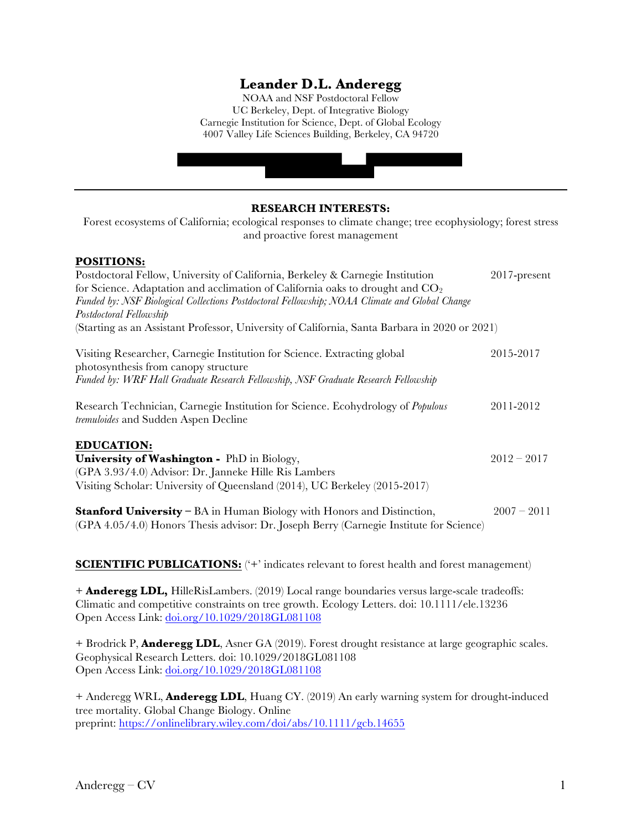# **Leander D.L. Anderegg**

NOAA and NSF Postdoctoral Fellow UC Berkeley, Dept. of Integrative Biology Carnegie Institution for Science, Dept. of Global Ecology 4007 Valley Life Sciences Building, Berkeley, CA 94720

| <b>RESEARCH INTERESTS:</b><br>Forest ecosystems of California; ecological responses to climate change; tree ecophysiology; forest stress<br>and proactive forest management                                                                                                                                                                                                                                         |               |  |
|---------------------------------------------------------------------------------------------------------------------------------------------------------------------------------------------------------------------------------------------------------------------------------------------------------------------------------------------------------------------------------------------------------------------|---------------|--|
| <b>POSITIONS:</b><br>Postdoctoral Fellow, University of California, Berkeley & Carnegie Institution<br>for Science. Adaptation and acclimation of California oaks to drought and $CO2$<br>Funded by: NSF Biological Collections Postdoctoral Fellowship; NOAA Climate and Global Change<br>Postdoctoral Fellowship<br>(Starting as an Assistant Professor, University of California, Santa Barbara in 2020 or 2021) | 2017-present  |  |
| Visiting Researcher, Carnegie Institution for Science. Extracting global<br>photosynthesis from canopy structure<br>Funded by: WRF Hall Graduate Research Fellowship, NSF Graduate Research Fellowship                                                                                                                                                                                                              | 2015-2017     |  |
| Research Technician, Carnegie Institution for Science. Ecohydrology of <i>Populous</i><br>tremuloides and Sudden Aspen Decline                                                                                                                                                                                                                                                                                      | 2011-2012     |  |
| <b>EDUCATION:</b><br>University of Washington - PhD in Biology,<br>(GPA 3.93/4.0) Advisor: Dr. Janneke Hille Ris Lambers<br>Visiting Scholar: University of Queensland (2014), UC Berkeley (2015-2017)                                                                                                                                                                                                              | $2012 - 2017$ |  |
| <b>Stanford University</b> – BA in Human Biology with Honors and Distinction,<br>(GPA 4.05/4.0) Honors Thesis advisor: Dr. Joseph Berry (Carnegie Institute for Science)                                                                                                                                                                                                                                            | $2007 - 2011$ |  |

**SCIENTIFIC PUBLICATIONS:** ('+' indicates relevant to forest health and forest management)

+ **Anderegg LDL,** HilleRisLambers. (2019) Local range boundaries versus large-scale tradeoffs: Climatic and competitive constraints on tree growth. Ecology Letters. doi: 10.1111/ele.13236 Open Access Link: doi.org/10.1029/2018GL081108

+ Brodrick P, **Anderegg LDL**, Asner GA (2019). Forest drought resistance at large geographic scales. Geophysical Research Letters. doi: 10.1029/2018GL081108 Open Access Link: doi.org/10.1029/2018GL081108

+ Anderegg WRL, **Anderegg LDL**, Huang CY. (2019) An early warning system for drought-induced tree mortality. Global Change Biology. Online preprint: https://onlinelibrary.wiley.com/doi/abs/10.1111/gcb.14655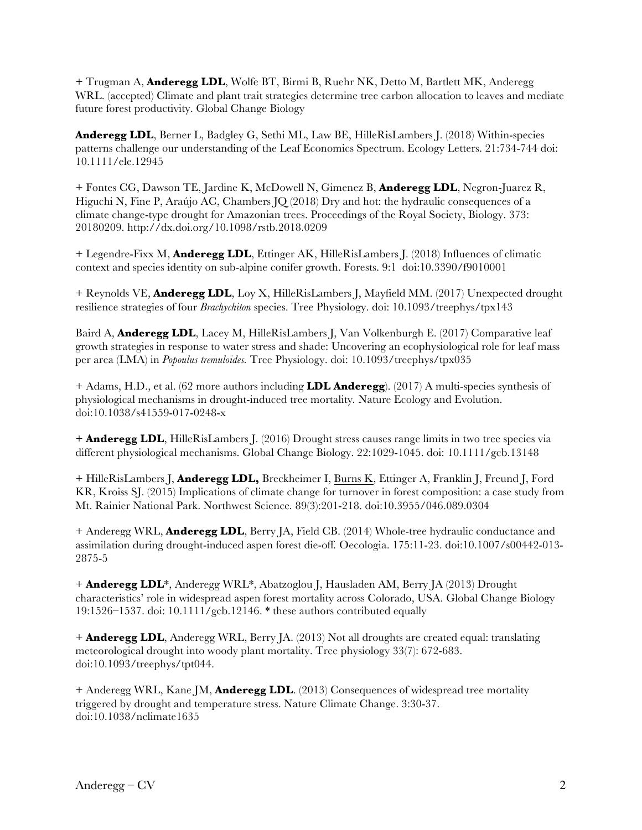+ Trugman A, **Anderegg LDL**, Wolfe BT, Birmi B, Ruehr NK, Detto M, Bartlett MK, Anderegg WRL. (accepted) Climate and plant trait strategies determine tree carbon allocation to leaves and mediate future forest productivity. Global Change Biology

**Anderegg LDL**, Berner L, Badgley G, Sethi ML, Law BE, HilleRisLambers J. (2018) Within-species patterns challenge our understanding of the Leaf Economics Spectrum. Ecology Letters. 21:734-744 doi: 10.1111/ele.12945

+ Fontes CG, Dawson TE, Jardine K, McDowell N, Gimenez B, **Anderegg LDL**, Negron-Juarez R, Higuchi N, Fine P, Araújo AC, Chambers JQ (2018) Dry and hot: the hydraulic consequences of a climate change-type drought for Amazonian trees. Proceedings of the Royal Society, Biology. 373: 20180209. http://dx.doi.org/10.1098/rstb.2018.0209

+ Legendre-Fixx M, **Anderegg LDL**, Ettinger AK, HilleRisLambers J. (2018) Influences of climatic context and species identity on sub-alpine conifer growth. Forests. 9:1 doi:10.3390/f9010001

+ Reynolds VE, **Anderegg LDL**, Loy X, HilleRisLambers J, Mayfield MM. (2017) Unexpected drought resilience strategies of four *Brachychiton* species. Tree Physiology. doi: 10.1093/treephys/tpx143

Baird A, **Anderegg LDL**, Lacey M, HilleRisLambers J, Van Volkenburgh E. (2017) Comparative leaf growth strategies in response to water stress and shade: Uncovering an ecophysiological role for leaf mass per area (LMA) in *Popoulus tremuloides.* Tree Physiology. doi: 10.1093/treephys/tpx035

+ Adams, H.D., et al. (62 more authors including **LDL Anderegg**). (2017) A multi-species synthesis of physiological mechanisms in drought-induced tree mortality*.* Nature Ecology and Evolution. doi:10.1038/s41559-017-0248-x

+ **Anderegg LDL**, HilleRisLambers J. (2016) Drought stress causes range limits in two tree species via different physiological mechanisms. Global Change Biology. 22:1029-1045. doi: 10.1111/gcb.13148

+ HilleRisLambers J, **Anderegg LDL,** Breckheimer I, Burns K, Ettinger A, Franklin J, Freund J, Ford KR, Kroiss SJ. (2015) Implications of climate change for turnover in forest composition: a case study from Mt. Rainier National Park. Northwest Science*.* 89(3):201-218. doi:10.3955/046.089.0304

+ Anderegg WRL, **Anderegg LDL**, Berry JA, Field CB. (2014) Whole-tree hydraulic conductance and assimilation during drought-induced aspen forest die-off*.* Oecologia. 175:11-23. doi:10.1007/s00442-013- 2875-5

+ **Anderegg LDL**\*, Anderegg WRL\*, Abatzoglou J, Hausladen AM, Berry JA (2013) Drought characteristics' role in widespread aspen forest mortality across Colorado, USA. Global Change Biology 19:1526–1537. doi: 10.1111/gcb.12146. \* these authors contributed equally

+ **Anderegg LDL**, Anderegg WRL, Berry JA. (2013) Not all droughts are created equal: translating meteorological drought into woody plant mortality. Tree physiology 33(7): 672-683. doi:10.1093/treephys/tpt044.

+ Anderegg WRL, Kane JM, **Anderegg LDL**. (2013) Consequences of widespread tree mortality triggered by drought and temperature stress. Nature Climate Change. 3:30-37. doi:10.1038/nclimate1635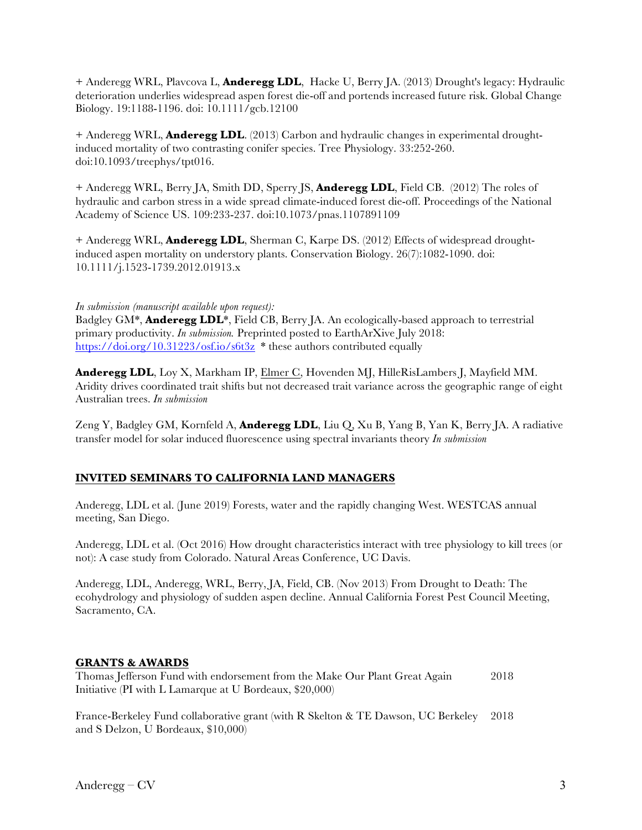+ Anderegg WRL, Plavcova L, **Anderegg LDL**, Hacke U, Berry JA. (2013) Drought's legacy: Hydraulic deterioration underlies widespread aspen forest die-off and portends increased future risk. Global Change Biology. 19:1188-1196. doi: 10.1111/gcb.12100

+ Anderegg WRL, **Anderegg LDL**. (2013) Carbon and hydraulic changes in experimental droughtinduced mortality of two contrasting conifer species. Tree Physiology. 33:252-260. doi:10.1093/treephys/tpt016.

+ Anderegg WRL, Berry JA, Smith DD, Sperry JS, **Anderegg LDL**, Field CB. (2012) The roles of hydraulic and carbon stress in a wide spread climate-induced forest die-off. Proceedings of the National Academy of Science US. 109:233-237. doi:10.1073/pnas.1107891109

+ Anderegg WRL, **Anderegg LDL**, Sherman C, Karpe DS. (2012) Effects of widespread droughtinduced aspen mortality on understory plants. Conservation Biology. 26(7):1082-1090. doi: 10.1111/j.1523-1739.2012.01913.x

#### *In submission (manuscript available upon request):*

Badgley GM\*, **Anderegg LDL**\*, Field CB, Berry JA. An ecologically-based approach to terrestrial primary productivity. *In submission.* Preprinted posted to EarthArXive July 2018: https://doi.org/10.31223/osf.io/s6t3z \* these authors contributed equally

**Anderegg LDL**, Loy X, Markham IP, Elmer C, Hovenden MJ, HilleRisLambers J, Mayfield MM. Aridity drives coordinated trait shifts but not decreased trait variance across the geographic range of eight Australian trees. *In submission*

Zeng Y, Badgley GM, Kornfeld A, **Anderegg LDL**, Liu Q, Xu B, Yang B, Yan K, Berry JA. A radiative transfer model for solar induced fluorescence using spectral invariants theory *In submission*

# **INVITED SEMINARS TO CALIFORNIA LAND MANAGERS**

Anderegg, LDL et al. (June 2019) Forests, water and the rapidly changing West. WESTCAS annual meeting, San Diego.

Anderegg, LDL et al. (Oct 2016) How drought characteristics interact with tree physiology to kill trees (or not): A case study from Colorado. Natural Areas Conference, UC Davis.

Anderegg, LDL, Anderegg, WRL, Berry, JA, Field, CB. (Nov 2013) From Drought to Death: The ecohydrology and physiology of sudden aspen decline. Annual California Forest Pest Council Meeting, Sacramento, CA.

### **GRANTS & AWARDS**

Thomas Jefferson Fund with endorsement from the Make Our Plant Great Again 2018 Initiative (PI with L Lamarque at U Bordeaux, \$20,000)

France-Berkeley Fund collaborative grant (with R Skelton & TE Dawson, UC Berkeley 2018 and S Delzon, U Bordeaux, \$10,000)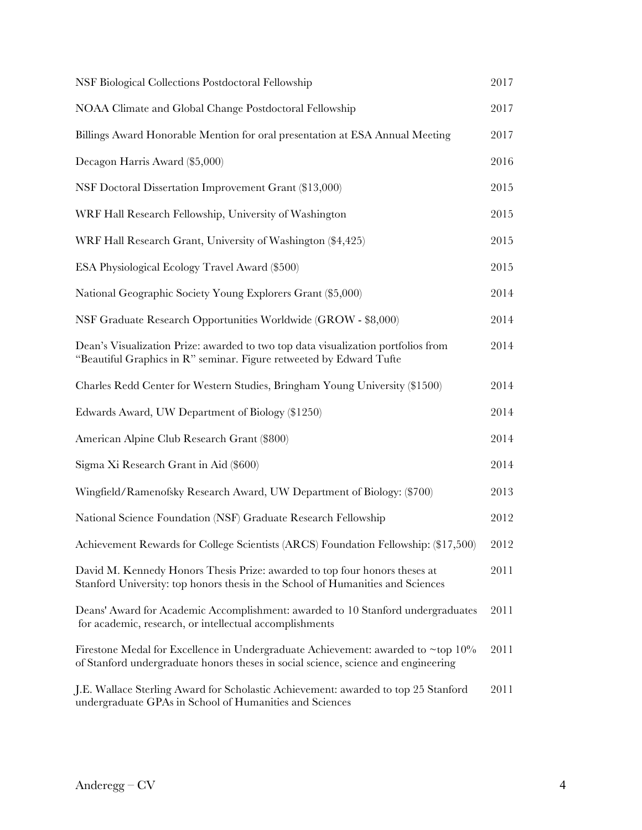| NSF Biological Collections Postdoctoral Fellowship                                                                                                                     | 2017 |
|------------------------------------------------------------------------------------------------------------------------------------------------------------------------|------|
| NOAA Climate and Global Change Postdoctoral Fellowship                                                                                                                 | 2017 |
| Billings Award Honorable Mention for oral presentation at ESA Annual Meeting                                                                                           | 2017 |
| Decagon Harris Award (\$5,000)                                                                                                                                         | 2016 |
| NSF Doctoral Dissertation Improvement Grant (\$13,000)                                                                                                                 | 2015 |
| WRF Hall Research Fellowship, University of Washington                                                                                                                 | 2015 |
| WRF Hall Research Grant, University of Washington (\$4,425)                                                                                                            | 2015 |
| ESA Physiological Ecology Travel Award (\$500)                                                                                                                         | 2015 |
| National Geographic Society Young Explorers Grant (\$5,000)                                                                                                            | 2014 |
| NSF Graduate Research Opportunities Worldwide (GROW - \$8,000)                                                                                                         | 2014 |
| Dean's Visualization Prize: awarded to two top data visualization portfolios from<br>"Beautiful Graphics in R" seminar. Figure retweeted by Edward Tufte               | 2014 |
| Charles Redd Center for Western Studies, Bringham Young University (\$1500)                                                                                            | 2014 |
| Edwards Award, UW Department of Biology (\$1250)                                                                                                                       | 2014 |
| American Alpine Club Research Grant (\$800)                                                                                                                            | 2014 |
| Sigma Xi Research Grant in Aid (\$600)                                                                                                                                 | 2014 |
| Wingfield/Ramenofsky Research Award, UW Department of Biology: (\$700)                                                                                                 | 2013 |
| National Science Foundation (NSF) Graduate Research Fellowship                                                                                                         | 2012 |
| Achievement Rewards for College Scientists (ARCS) Foundation Fellowship: (\$17,500)                                                                                    | 2012 |
| David M. Kennedy Honors Thesis Prize: awarded to top four honors theses at<br>Stanford University: top honors thesis in the School of Humanities and Sciences          | 2011 |
| Deans' Award for Academic Accomplishment: awarded to 10 Stanford undergraduates<br>for academic, research, or intellectual accomplishments                             | 2011 |
| Firestone Medal for Excellence in Undergraduate Achievement: awarded to ~top 10%<br>of Stanford undergraduate honors theses in social science, science and engineering | 2011 |
| J.E. Wallace Sterling Award for Scholastic Achievement: awarded to top 25 Stanford<br>undergraduate GPAs in School of Humanities and Sciences                          | 2011 |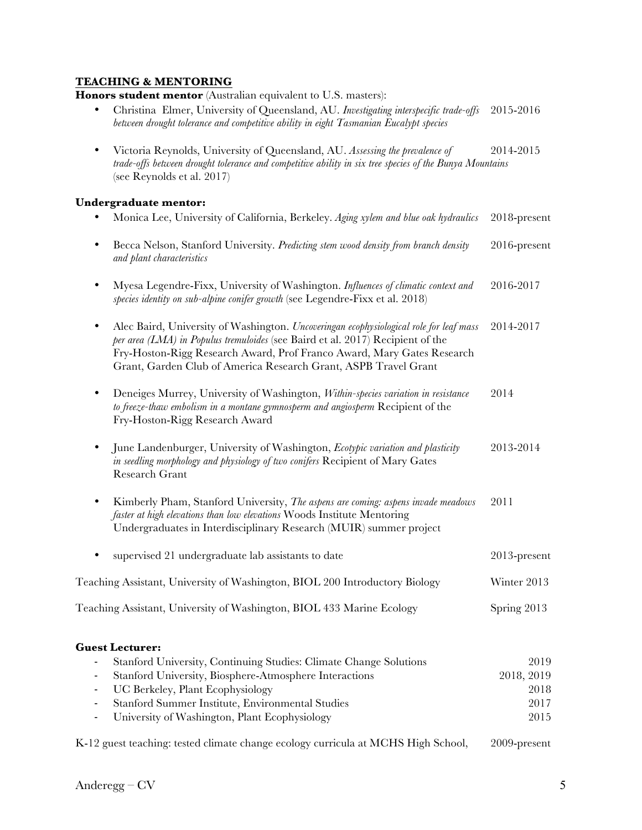# **TEACHING & MENTORING**

**Honors student mentor** (Australian equivalent to U.S. masters):

- Christina Elmer, University of Queensland, AU. *Investigating interspecific trade-offs* 2015-2016 *between drought tolerance and competitive ability in eight Tasmanian Eucalypt species*
- Victoria Reynolds, University of Queensland, AU. *Assessing the prevalence of* 2014-2015 *trade-offs between drought tolerance and competitive ability in six tree species of the Bunya Mountains*  (see Reynolds et al. 2017)

### Und

|                | Undergraduate mentor:                                                                                                                                                                                                                                                                                                 |              |
|----------------|-----------------------------------------------------------------------------------------------------------------------------------------------------------------------------------------------------------------------------------------------------------------------------------------------------------------------|--------------|
|                | Monica Lee, University of California, Berkeley. Aging xylem and blue oak hydraulics                                                                                                                                                                                                                                   | 2018-present |
| $\bullet$      | Becca Nelson, Stanford University. Predicting stem wood density from branch density<br>and plant characteristics                                                                                                                                                                                                      | 2016-present |
| $\bullet$      | Myesa Legendre-Fixx, University of Washington. Influences of climatic context and<br>species identity on sub-alpine conifer growth (see Legendre-Fixx et al. 2018)                                                                                                                                                    | 2016-2017    |
| $\bullet$      | Alec Baird, University of Washington. Uncoveringan ecophysiological role for leaf mass<br>per area (LMA) in Populus tremuloides (see Baird et al. 2017) Recipient of the<br>Fry-Hoston-Rigg Research Award, Prof Franco Award, Mary Gates Research<br>Grant, Garden Club of America Research Grant, ASPB Travel Grant | 2014-2017    |
| $\bullet$      | Deneiges Murrey, University of Washington, Within-species variation in resistance<br>to freeze-thaw embolism in a montane gymnosperm and angiosperm Recipient of the<br>Fry-Hoston-Rigg Research Award                                                                                                                | 2014         |
| $\bullet$      | June Landenburger, University of Washington, Ecotypic variation and plasticity<br>in seedling morphology and physiology of two conifers Recipient of Mary Gates<br>Research Grant                                                                                                                                     | 2013-2014    |
| $\bullet$      | Kimberly Pham, Stanford University, The aspens are coming: aspens invade meadows<br>faster at high elevations than low elevations Woods Institute Mentoring<br>Undergraduates in Interdisciplinary Research (MUIR) summer project                                                                                     | 2011         |
|                | supervised 21 undergraduate lab assistants to date                                                                                                                                                                                                                                                                    | 2013-present |
|                | Teaching Assistant, University of Washington, BIOL 200 Introductory Biology                                                                                                                                                                                                                                           | Winter 2013  |
|                | Teaching Assistant, University of Washington, BIOL 433 Marine Ecology                                                                                                                                                                                                                                                 | Spring 2013  |
|                | <b>Guest Lecturer:</b>                                                                                                                                                                                                                                                                                                |              |
|                | Stanford University, Continuing Studies: Climate Change Solutions                                                                                                                                                                                                                                                     | 2019         |
| ۰              | Stanford University, Biosphere-Atmosphere Interactions                                                                                                                                                                                                                                                                | 2018, 2019   |
| $\blacksquare$ | UC Berkeley, Plant Ecophysiology                                                                                                                                                                                                                                                                                      | 2018         |
|                | Stanford Summer Institute, Environmental Studies                                                                                                                                                                                                                                                                      | 2017         |

- University of Washington, Plant Ecophysiology 2015

K-12 guest teaching: tested climate change ecology curricula at MCHS High School, 2009-present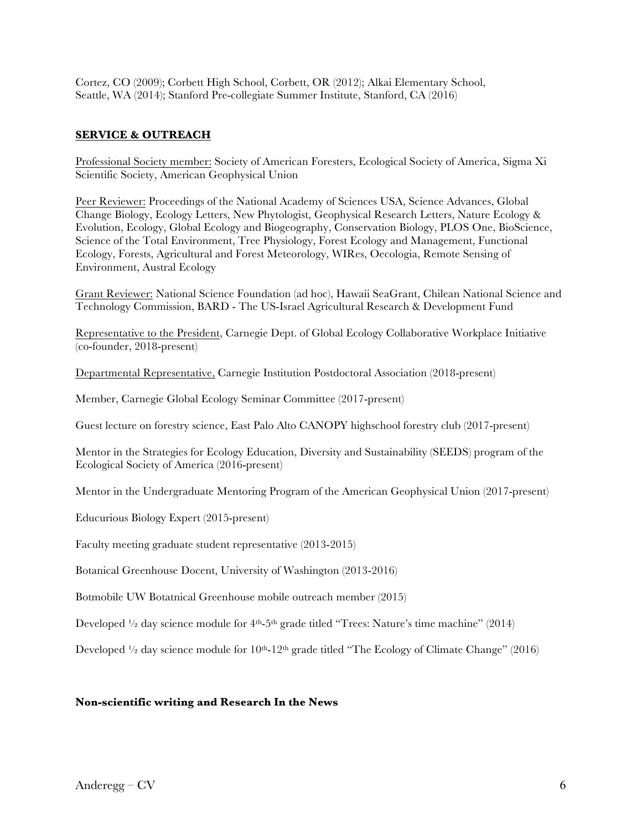Cortez, CO (2009); Corbett High School, Corbett, OR (2012); Alkai Elementary School, Seattle, WA (2014); Stanford Pre-collegiate Summer Institute, Stanford, CA (2016)

### **SERVICE & OUTREACH**

Professional Society member: Society of American Foresters, Ecological Society of America, Sigma Xi Scientific Society, American Geophysical Union

Peer Reviewer: Proceedings of the National Academy of Sciences USA, Science Advances, Global Change Biology, Ecology Letters, New Phytologist, Geophysical Research Letters, Nature Ecology & Evolution, Ecology, Global Ecology and Biogeography, Conservation Biology, PLOS One, BioScience, Science of the Total Environment, Tree Physiology, Forest Ecology and Management, Functional Ecology, Forests, Agricultural and Forest Meteorology, WIRes, Oecologia, Remote Sensing of Environment, Austral Ecology

Grant Reviewer: National Science Foundation (ad hoc), Hawaii SeaGrant, Chilean National Science and Technology Commission, BARD - The US-Israel Agricultural Research & Development Fund

Representative to the President, Carnegie Dept. of Global Ecology Collaborative Workplace Initiative (co-founder, 2018-present)

Departmental Representative, Carnegie Institution Postdoctoral Association (2018-present)

Member, Carnegie Global Ecology Seminar Committee (2017-present)

Guest lecture on forestry science, East Palo Alto CANOPY highschool forestry club (2017-present)

Mentor in the Strategies for Ecology Education, Diversity and Sustainability (SEEDS) program of the Ecological Society of America (2016-present)

Mentor in the Undergraduate Mentoring Program of the American Geophysical Union (2017-present)

Educurious Biology Expert (2015-present)

Faculty meeting graduate student representative (2013-2015)

Botanical Greenhouse Docent, University of Washington (2013-2016)

Botmobile UW Botatnical Greenhouse mobile outreach member (2015)

Developed  $\frac{1}{2}$  day science module for  $4<sup>th</sup>$ -5<sup>th</sup> grade titled "Trees: Nature's time machine" (2014)

Developed  $\frac{1}{2}$  day science module for  $10^{th}$ -12<sup>th</sup> grade titled "The Ecology of Climate Change" (2016)

#### **Non-scientific writing and Research In the News**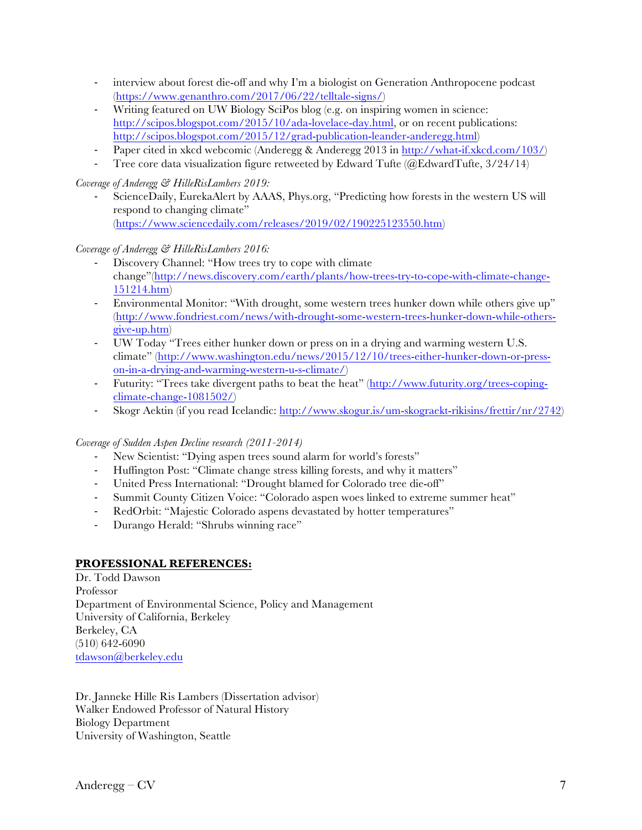- interview about forest die-off and why I'm a biologist on Generation Anthropocene podcast (https://www.genanthro.com/2017/06/22/telltale-signs/)
- Writing featured on UW Biology SciPos blog (e.g. on inspiring women in science: http://scipos.blogspot.com/2015/10/ada-lovelace-day.html, or on recent publications: http://scipos.blogspot.com/2015/12/grad-publication-leander-anderegg.html)
- Paper cited in xkcd webcomic (Anderegg & Anderegg 2013 in http://what-if.xkcd.com/103/)
- Tree core data visualization figure retweeted by Edward Tufte ( $@EdwardT$ ufte,  $3/24/14$ )

### *Coverage of Anderegg & HilleRisLambers 2019:*

ScienceDaily, EurekaAlert by AAAS, Phys.org, "Predicting how forests in the western US will respond to changing climate" (https://www.sciencedaily.com/releases/2019/02/190225123550.htm)

### *Coverage of Anderegg & HilleRisLambers 2016:*

- Discovery Channel: "How trees try to cope with climate change"(http://news.discovery.com/earth/plants/how-trees-try-to-cope-with-climate-change-151214.htm)
- Environmental Monitor: "With drought, some western trees hunker down while others give up" (http://www.fondriest.com/news/with-drought-some-western-trees-hunker-down-while-othersgive-up.htm)
- UW Today "Trees either hunker down or press on in a drying and warming western U.S. climate" (http://www.washington.edu/news/2015/12/10/trees-either-hunker-down-or-presson-in-a-drying-and-warming-western-u-s-climate/)
- Futurity: "Trees take divergent paths to beat the heat" (http://www.futurity.org/trees-copingclimate-change-1081502/)
- Skogr Aektin (if you read Icelandic: http://www.skogur.is/um-skograekt-rikisins/frettir/nr/2742)

### *Coverage of Sudden Aspen Decline research (2011-2014)*

- New Scientist: "Dying aspen trees sound alarm for world's forests"
- Huffington Post: "Climate change stress killing forests, and why it matters"
- United Press International: "Drought blamed for Colorado tree die-off"
- Summit County Citizen Voice: "Colorado aspen woes linked to extreme summer heat"
- RedOrbit: "Majestic Colorado aspens devastated by hotter temperatures"
- Durango Herald: "Shrubs winning race"

### **PROFESSIONAL REFERENCES:**

Dr. Todd Dawson Professor Department of Environmental Science, Policy and Management University of California, Berkeley Berkeley, CA (510) 642-6090 tdawson@berkeley.edu

Dr. Janneke Hille Ris Lambers (Dissertation advisor) Walker Endowed Professor of Natural History Biology Department University of Washington, Seattle